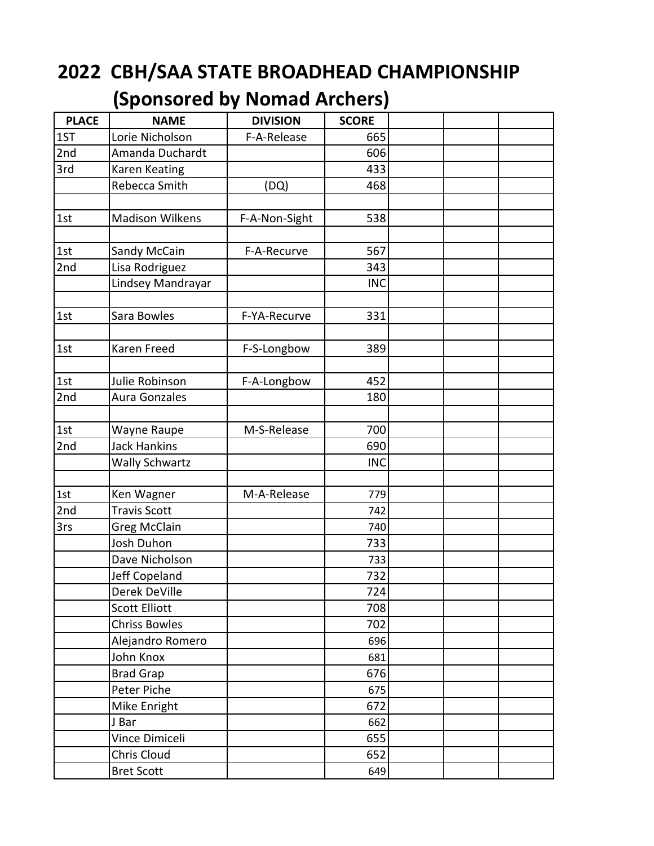## **2022 CBH/SAA STATE BROADHEAD CHAMPIONSHIP**

## **(Sponsored by Nomad Archers)**

| <b>PLACE</b> | <b>NAME</b>            | <b>DIVISION</b> | <b>SCORE</b> |  |
|--------------|------------------------|-----------------|--------------|--|
| 1ST          | Lorie Nicholson        | F-A-Release     | 665          |  |
| 2nd          | Amanda Duchardt        |                 | 606          |  |
| 3rd          | Karen Keating          |                 | 433          |  |
|              | Rebecca Smith          | (DQ)            | 468          |  |
|              |                        |                 |              |  |
| 1st          | <b>Madison Wilkens</b> | F-A-Non-Sight   | 538          |  |
|              |                        |                 |              |  |
| 1st          | Sandy McCain           | F-A-Recurve     | 567          |  |
| 2nd          | Lisa Rodriguez         |                 | 343          |  |
|              | Lindsey Mandrayar      |                 | <b>INC</b>   |  |
|              |                        |                 |              |  |
| 1st          | Sara Bowles            | F-YA-Recurve    | 331          |  |
|              |                        |                 |              |  |
| 1st          | Karen Freed            | F-S-Longbow     | 389          |  |
|              |                        |                 |              |  |
| 1st          | Julie Robinson         | F-A-Longbow     | 452          |  |
| 2nd          | Aura Gonzales          |                 | 180          |  |
|              |                        |                 |              |  |
| 1st          | Wayne Raupe            | M-S-Release     | 700          |  |
| 2nd          | <b>Jack Hankins</b>    |                 | 690          |  |
|              | <b>Wally Schwartz</b>  |                 | <b>INC</b>   |  |
|              |                        |                 |              |  |
| 1st          | Ken Wagner             | M-A-Release     | 779          |  |
| 2nd          | <b>Travis Scott</b>    |                 | 742          |  |
| 3rs          | Greg McClain           |                 | 740          |  |
|              | Josh Duhon             |                 | 733          |  |
|              | Dave Nicholson         |                 | 733          |  |
|              | Jeff Copeland          |                 | 732          |  |
|              | Derek DeVille          |                 | 724          |  |
|              | <b>Scott Elliott</b>   |                 | 708          |  |
|              | <b>Chriss Bowles</b>   |                 | 702          |  |
|              | Alejandro Romero       |                 | 696          |  |
|              | John Knox              |                 | 681          |  |
|              | <b>Brad Grap</b>       |                 | 676          |  |
|              | Peter Piche            |                 | 675          |  |
|              | Mike Enright           |                 | 672          |  |
|              | J Bar                  |                 | 662          |  |
|              | Vince Dimiceli         |                 | 655          |  |
|              | Chris Cloud            |                 | 652          |  |
|              | <b>Bret Scott</b>      |                 | 649          |  |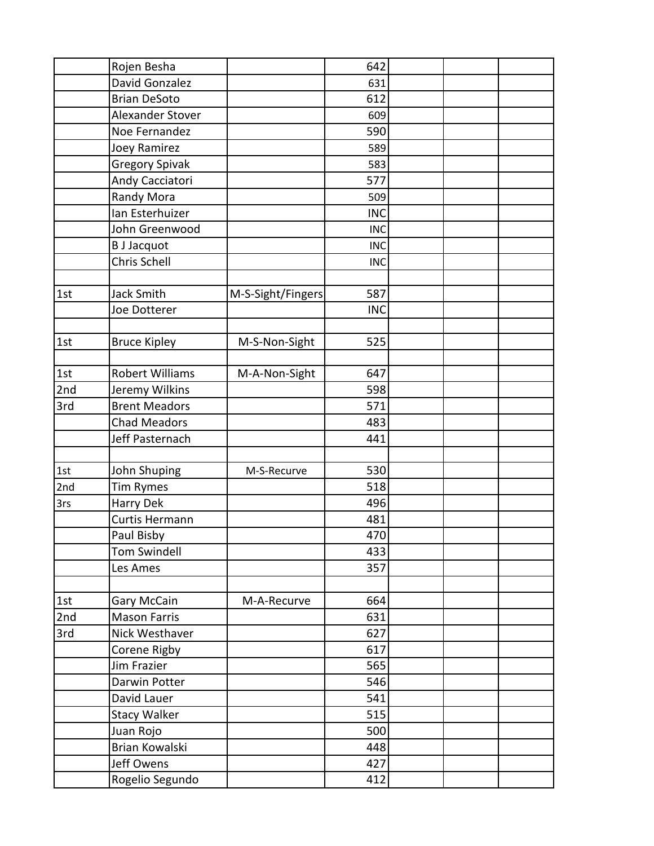|     | Rojen Besha            |                   | 642        |  |
|-----|------------------------|-------------------|------------|--|
|     | David Gonzalez         |                   | 631        |  |
|     | <b>Brian DeSoto</b>    |                   | 612        |  |
|     | Alexander Stover       |                   | 609        |  |
|     | Noe Fernandez          |                   | 590        |  |
|     | Joey Ramirez           |                   | 589        |  |
|     | <b>Gregory Spivak</b>  |                   | 583        |  |
|     | Andy Cacciatori        |                   | 577        |  |
|     | Randy Mora             |                   | 509        |  |
|     | Ian Esterhuizer        |                   | <b>INC</b> |  |
|     | John Greenwood         |                   | <b>INC</b> |  |
|     | <b>B</b> J Jacquot     |                   | <b>INC</b> |  |
|     | Chris Schell           |                   | <b>INC</b> |  |
|     |                        |                   |            |  |
| 1st | <b>Jack Smith</b>      | M-S-Sight/Fingers | 587        |  |
|     | Joe Dotterer           |                   | <b>INC</b> |  |
|     |                        |                   |            |  |
| 1st | <b>Bruce Kipley</b>    | M-S-Non-Sight     | 525        |  |
|     |                        |                   |            |  |
| 1st | <b>Robert Williams</b> | M-A-Non-Sight     | 647        |  |
| 2nd | Jeremy Wilkins         |                   | 598        |  |
| 3rd | <b>Brent Meadors</b>   |                   | 571        |  |
|     | <b>Chad Meadors</b>    |                   | 483        |  |
|     | Jeff Pasternach        |                   | 441        |  |
|     |                        |                   |            |  |
| 1st | John Shuping           | M-S-Recurve       | 530        |  |
| 2nd | Tim Rymes              |                   | 518        |  |
| 3rs | Harry Dek              |                   | 496        |  |
|     | Curtis Hermann         |                   | 481        |  |
|     | Paul Bisby             |                   | 470        |  |
|     | <b>Tom Swindell</b>    |                   | 433        |  |
|     | Les Ames               |                   | 357        |  |
|     |                        |                   |            |  |
| 1st | Gary McCain            | M-A-Recurve       | 664        |  |
| 2nd | <b>Mason Farris</b>    |                   | 631        |  |
| 3rd | Nick Westhaver         |                   | 627        |  |
|     | Corene Rigby           |                   | 617        |  |
|     | Jim Frazier            |                   | 565        |  |
|     | Darwin Potter          |                   | 546        |  |
|     | David Lauer            |                   | 541        |  |
|     | <b>Stacy Walker</b>    |                   | 515        |  |
|     | Juan Rojo              |                   | 500        |  |
|     | Brian Kowalski         |                   | 448        |  |
|     | Jeff Owens             |                   | 427        |  |
|     | Rogelio Segundo        |                   | 412        |  |